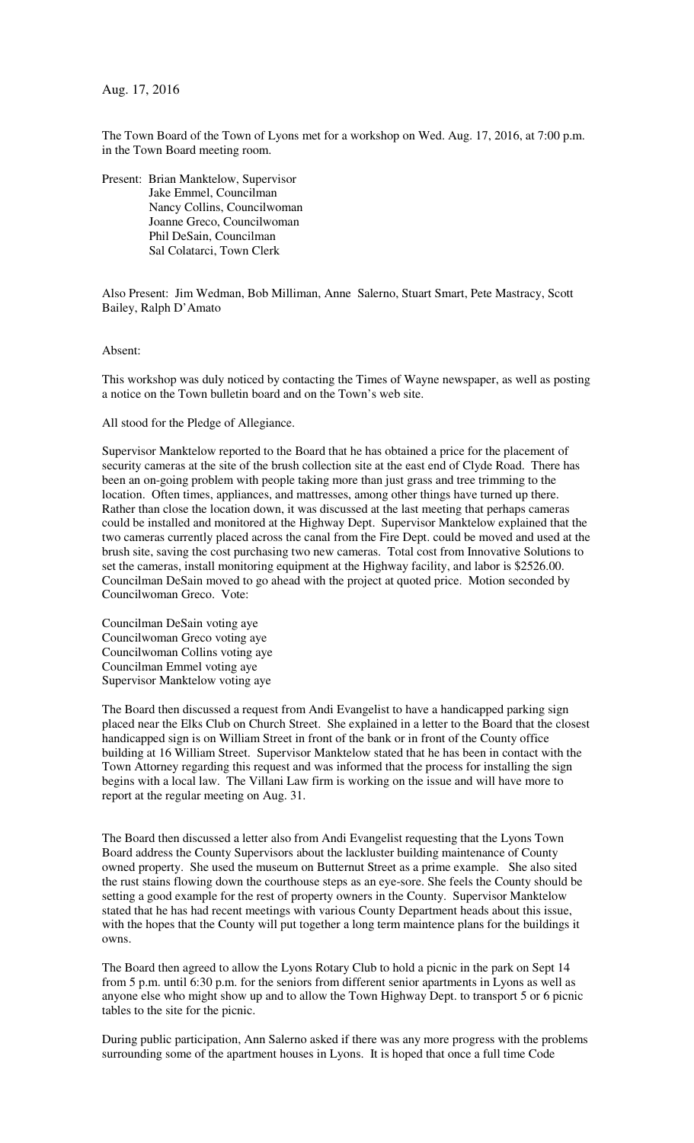Aug. 17, 2016

The Town Board of the Town of Lyons met for a workshop on Wed. Aug. 17, 2016, at 7:00 p.m. in the Town Board meeting room.

Present: Brian Manktelow, Supervisor Jake Emmel, Councilman Nancy Collins, Councilwoman Joanne Greco, Councilwoman Phil DeSain, Councilman Sal Colatarci, Town Clerk

Also Present: Jim Wedman, Bob Milliman, Anne Salerno, Stuart Smart, Pete Mastracy, Scott Bailey, Ralph D'Amato

Absent:

This workshop was duly noticed by contacting the Times of Wayne newspaper, as well as posting a notice on the Town bulletin board and on the Town's web site.

All stood for the Pledge of Allegiance.

Supervisor Manktelow reported to the Board that he has obtained a price for the placement of security cameras at the site of the brush collection site at the east end of Clyde Road. There has been an on-going problem with people taking more than just grass and tree trimming to the location. Often times, appliances, and mattresses, among other things have turned up there. Rather than close the location down, it was discussed at the last meeting that perhaps cameras could be installed and monitored at the Highway Dept. Supervisor Manktelow explained that the two cameras currently placed across the canal from the Fire Dept. could be moved and used at the brush site, saving the cost purchasing two new cameras. Total cost from Innovative Solutions to set the cameras, install monitoring equipment at the Highway facility, and labor is \$2526.00. Councilman DeSain moved to go ahead with the project at quoted price. Motion seconded by Councilwoman Greco. Vote:

Councilman DeSain voting aye Councilwoman Greco voting aye Councilwoman Collins voting aye Councilman Emmel voting aye Supervisor Manktelow voting aye

The Board then discussed a request from Andi Evangelist to have a handicapped parking sign placed near the Elks Club on Church Street. She explained in a letter to the Board that the closest handicapped sign is on William Street in front of the bank or in front of the County office building at 16 William Street. Supervisor Manktelow stated that he has been in contact with the Town Attorney regarding this request and was informed that the process for installing the sign begins with a local law. The Villani Law firm is working on the issue and will have more to report at the regular meeting on Aug. 31.

The Board then discussed a letter also from Andi Evangelist requesting that the Lyons Town Board address the County Supervisors about the lackluster building maintenance of County owned property. She used the museum on Butternut Street as a prime example. She also sited the rust stains flowing down the courthouse steps as an eye-sore. She feels the County should be setting a good example for the rest of property owners in the County. Supervisor Manktelow stated that he has had recent meetings with various County Department heads about this issue, with the hopes that the County will put together a long term maintence plans for the buildings it owns.

The Board then agreed to allow the Lyons Rotary Club to hold a picnic in the park on Sept 14 from 5 p.m. until 6:30 p.m. for the seniors from different senior apartments in Lyons as well as anyone else who might show up and to allow the Town Highway Dept. to transport 5 or 6 picnic tables to the site for the picnic.

During public participation, Ann Salerno asked if there was any more progress with the problems surrounding some of the apartment houses in Lyons. It is hoped that once a full time Code